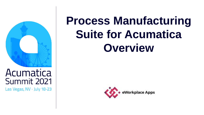

Las Vegas, NV · July 18-23

# **Process Manufacturing Suite for Acumatica Overview**

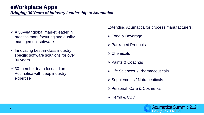## **eWorkplace Apps**

*Bringing 30 Years of Industry Leadership to Acumatica* 

- $\checkmark$  A 30-year global market leader in process manufacturing and quality management software
- $\checkmark$  Innovating best-in-class industry specific software solutions for over 30 years
- ✓ 30-member team focused on Acumatica with deep industry expertise

Extending Acumatica for process manufacturers:

- ➢ Food & Beverage
- ➢ Packaged Products
- ➢ Chemicals
- ➢ Paints & Coatings
- ➢ Life Sciences / Pharmaceuticals
- ➢ Supplements / Nutraceuticals
- ➢ Personal Care & Cosmetics
- ➢ Hemp & CBD

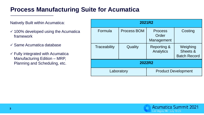## **Process Manufacturing Suite for Acumatica**

#### Natively Built within Acumatica:

- $\checkmark$  100% developed using the Acumatica framework
- ✓ Same Acumatica database
- $\checkmark$  Fully integrated with Acumatica Manufacturing Edition – MRP, Planning and Scheduling, etc.

| 2021R2        |                    |                                       |                                             |  |
|---------------|--------------------|---------------------------------------|---------------------------------------------|--|
| Formula       | <b>Process BOM</b> | <b>Process</b><br>Order<br>Management | Costing                                     |  |
| Traceability  | Quality            | <b>Reporting &amp;</b><br>Analytics   | Weighing<br>Sheets &<br><b>Batch Record</b> |  |
| <b>2022R2</b> |                    |                                       |                                             |  |
| Laboratory    |                    | <b>Product Development</b>            |                                             |  |

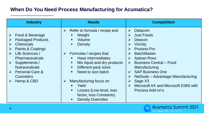### **When Do You Need Process Manufacturing for Acumatica?**

| <b>Industry</b>                                                                                                                                                                                                                                                                                     | <b>Needs</b>                                                                                                                                                                                                                                                                                                                                                                                                                        | <b>Competition</b>                                                                                                                                                                                                                                                                                                                                                                                                                                                                                           |
|-----------------------------------------------------------------------------------------------------------------------------------------------------------------------------------------------------------------------------------------------------------------------------------------------------|-------------------------------------------------------------------------------------------------------------------------------------------------------------------------------------------------------------------------------------------------------------------------------------------------------------------------------------------------------------------------------------------------------------------------------------|--------------------------------------------------------------------------------------------------------------------------------------------------------------------------------------------------------------------------------------------------------------------------------------------------------------------------------------------------------------------------------------------------------------------------------------------------------------------------------------------------------------|
| Food & Beverage<br>$\blacktriangleright$<br><b>Packaged Products</b><br><b>Chemicals</b><br>Paints & Coatings<br>➤<br>Life Sciences /<br><b>Pharmaceuticals</b><br>Supplements /<br>$\triangleright$<br><b>Nutraceuticals</b><br>$\triangleright$ Personal Care &<br><b>Cosmetics</b><br>Hemp & CBD | Refer to formula / recipe and<br>➤<br>Weight<br>$\blacksquare$<br>Volume<br>п.<br>Density<br>п.<br>Formulas / recipes that<br>$\sum_{i=1}^{n}$<br>Have intermediates<br>Mix liquid and dry products<br>Different pack sizes<br>п.<br>Need to size batch<br>п.<br>Manufacturing focus on<br>$\blacktriangleright$<br>Yield<br>$\blacksquare$<br>Losses (Line-level, loss<br>п<br>factor, loss Constants)<br><b>Density Overrides</b> | Datacom<br>$\triangleright$<br><b>Just Foods</b><br>➤<br>Deacon<br>⋗<br><b>Vicinity</b><br>$\blacktriangleright$<br><b>Process Pro</b><br>$\triangleright$<br><b>BatchMaster</b><br>➤<br><b>Aptean Ross</b><br>➤<br><b>Business Central - Food</b><br>$\blacktriangleright$<br>Manufacturing<br><b>SAP Business One</b><br>$\blacktriangleright$<br>NetSuite – Advantage Manufacturing<br>➤<br>Sage X <sub>3</sub><br>➤<br>Microsoft AX and Microsoft D365 with<br>$\blacktriangleright$<br>Process Add-on's |